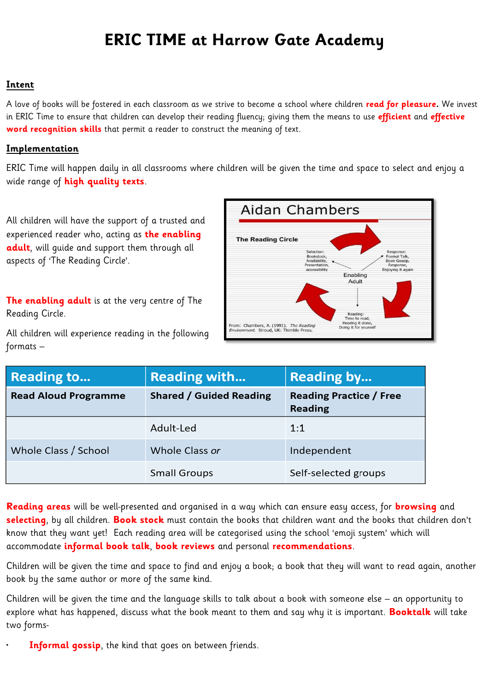## **ERIC TIME at Harrow Gate Academy**

## **Intent**

A love of books will be fostered in each classroom as we strive to become a school where children **read for pleasure.** We invest in ERIC Time to ensure that children can develop their reading fluency; giving them the means to use **efficient** and **effective word recognition skills** that permit a reader to construct the meaning of text.

## **Implementation**

ERIC Time will happen daily in all classrooms where children will be given the time and space to select and enjoy a wide range of **high quality texts**.

All children will have the support of a trusted and experienced reader who, acting as **the enabling adult**, will guide and support them through all aspects of 'The Reading Circle'.

**The enabling adult** is at the very centre of The Reading Circle.

**Aidan Chambers The Reading Circle** Formal Talk,<br>Book Gossip Enabling Adult Reading Time to read, Hearing it done,<br>Doing it for yours From: Chambers, A. (1991). The Reading<br>Environment. Stroud. UK: Thimble Press.

All children will experience reading in the following formats –

| <b>Reading to</b>           | <b>Reading with</b>            | <b>Reading by</b>                                |
|-----------------------------|--------------------------------|--------------------------------------------------|
| <b>Read Aloud Programme</b> | <b>Shared / Guided Reading</b> | <b>Reading Practice / Free</b><br><b>Reading</b> |
|                             | Adult-Led                      | 1:1                                              |
| Whole Class / School        | Whole Class or                 | Independent                                      |
|                             | <b>Small Groups</b>            | Self-selected groups                             |

**Reading areas** will be well-presented and organised in a way which can ensure easy access, for **browsing** and **selecting**, by all children. **Book stock** must contain the books that children want and the books that children don't know that they want yet! Each reading area will be categorised using the school 'emoji system' which will accommodate **informal book talk**, **book reviews** and personal **recommendations**.

Children will be given the time and space to find and enjoy a book; a book that they will want to read again, another book by the same author or more of the same kind.

Children will be given the time and the language skills to talk about a book with someone else – an opportunity to explore what has happened, discuss what the book meant to them and say why it is important. **Booktalk** will take two forms-

**Informal gossip**, the kind that goes on between friends.